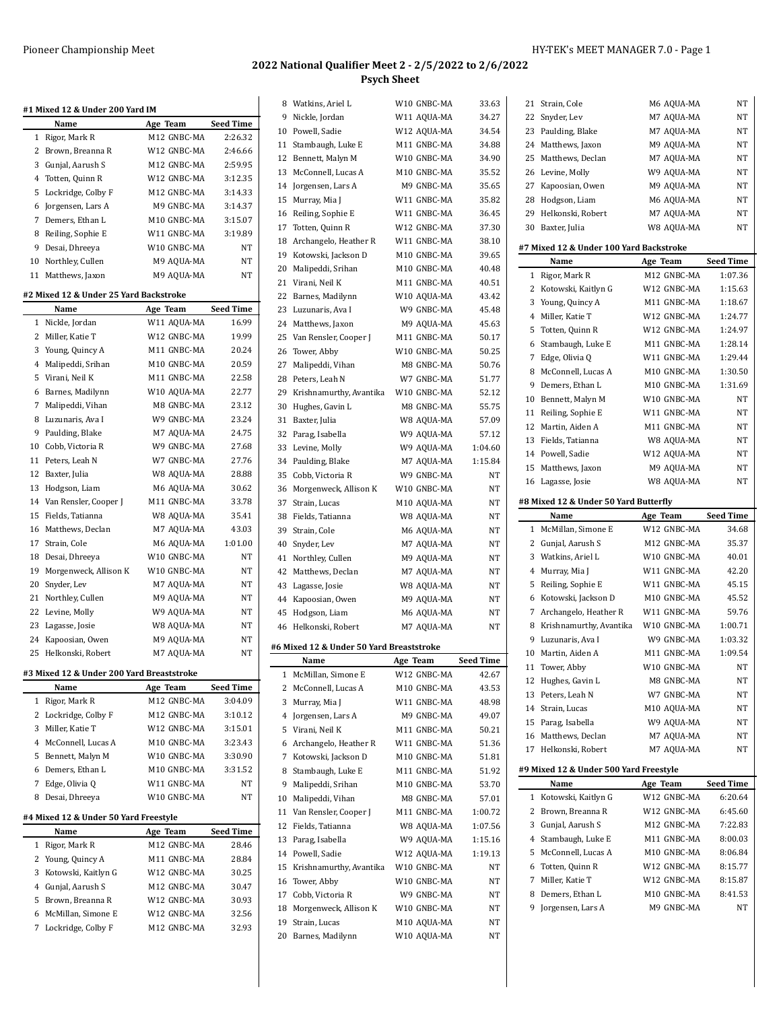| #1 Mixed 12 & Under 200 Yard IM |                                            |             |                  |  |
|---------------------------------|--------------------------------------------|-------------|------------------|--|
|                                 | Name                                       | Age Team    | <b>Seed Time</b> |  |
| 1                               | Rigor, Mark R                              | M12 GNBC-MA | 2:26.32          |  |
| $\overline{2}$                  | Brown, Breanna R                           | W12 GNBC-MA | 2:46.66          |  |
| 3                               | Gunjal, Aarush S                           | M12 GNBC-MA | 2:59.95          |  |
|                                 | 4 Totten, Quinn R                          | W12 GNBC-MA | 3:12.35          |  |
| 5                               | Lockridge, Colby F                         | M12 GNBC-MA | 3:14.33          |  |
| 6                               | Jorgensen, Lars A                          | M9 GNBC-MA  | 3:14.37          |  |
| 7                               | Demers, Ethan L                            | M10 GNBC-MA | 3:15.07          |  |
|                                 | 8 Reiling, Sophie E                        | W11 GNBC-MA | 3:19.89          |  |
| 9                               | Desai, Dhreeya                             | W10 GNBC-MA | NΤ               |  |
| 10                              | Northley, Cullen                           | M9 AQUA-MA  | NT               |  |
| 11                              | Matthews, Jaxon                            | M9 AQUA-MA  | NT               |  |
|                                 | #2 Mixed 12 & Under 25 Yard Backstroke     |             |                  |  |
|                                 | Name                                       | Age Team    | <b>Seed Time</b> |  |
| 1                               | Nickle, Jordan                             | W11 AQUA-MA | 16.99            |  |
| 2                               | Miller, Katie T                            | W12 GNBC-MA | 19.99            |  |
| 3                               | Young, Quincy A                            | M11 GNBC-MA | 20.24            |  |
| $\overline{4}$                  | Malipeddi, Srihan                          | M10 GNBC-MA | 20.59            |  |
| 5                               | Virani, Neil K                             | M11 GNBC-MA | 22.58            |  |
| 6                               | Barnes, Madilynn                           | W10 AQUA-MA | 22.77            |  |
|                                 | 7 Malipeddi, Vihan                         | M8 GNBC-MA  | 23.12            |  |
|                                 | 8 Luzunaris, Ava I                         | W9 GNBC-MA  | 23.24            |  |
| 9                               | Paulding, Blake                            | M7 AQUA-MA  | 24.75            |  |
| 10                              | Cobb, Victoria R                           | W9 GNBC-MA  | 27.68            |  |
| 11                              | Peters, Leah N                             | W7 GNBC-MA  | 27.76            |  |
| 12                              | Baxter, Julia                              | W8 AQUA-MA  | 28.88            |  |
| 13                              | Hodgson, Liam                              | M6 AQUA-MA  | 30.62            |  |
| 14                              | Van Rensler, Cooper J                      | M11 GNBC-MA | 33.78            |  |
| 15                              | Fields, Tatianna                           | W8 AQUA-MA  | 35.41            |  |
| 16                              | Matthews, Declan                           | M7 AQUA-MA  | 43.03            |  |
| 17                              | Strain, Cole                               | M6 AQUA-MA  | 1:01.00          |  |
| 18                              | Desai, Dhreeya                             | W10 GNBC-MA | NT               |  |
| 19                              | Morgenweck, Allison K                      | W10 GNBC-MA | NΤ               |  |
| 20                              | Snyder, Lev                                | M7 AQUA-MA  | NT               |  |
| 21                              | Northley, Cullen                           | M9 AQUA-MA  | NT               |  |
| 22                              | Levine, Molly                              | W9 AQUA-MA  | NΤ               |  |
| 23                              | Lagasse, Josie                             | W8 AQUA-MA  | NΤ               |  |
| 24                              | Kapoosian, Owen                            | M9 AQUA-MA  | NT               |  |
| 25                              | Helkonski, Robert                          | M7 AQUA-MA  | NT               |  |
|                                 | #2 Mived 12.8 Under 200 Vard Presentatraly |             |                  |  |

## **#3 Mixed 12 & Under 200 Yard Breaststroke**

|   | Name                                  | Age Team                | <b>Seed Time</b> |
|---|---------------------------------------|-------------------------|------------------|
| 1 | Rigor, Mark R                         | M12 GNBC-MA             | 3:04.09          |
| 2 | Lockridge, Colby F                    | M12 GNBC-MA             | 3:10.12          |
| 3 | Miller, Katie T                       | W12 GNBC-MA             | 3:15.01          |
| 4 | McConnell, Lucas A                    | M10 GNBC-MA             | 3:23.43          |
| 5 | Bennett, Malyn M                      | W10 GNBC-MA             | 3:30.90          |
| 6 | Demers, Ethan L                       | M <sub>10</sub> GNBC-MA | 3:31.52          |
| 7 | Edge, Olivia Q                        | W <sub>11</sub> GNBC-MA | NT               |
| 8 | Desai, Dhreeya                        | W10 GNBC-MA             | NT               |
|   |                                       |                         |                  |
|   | #4 Mixed 12 & Under 50 Yard Freestyle |                         |                  |
|   | Name                                  | Age Team                | <b>Seed Time</b> |
| 1 | Rigor, Mark R                         | M <sub>12</sub> GNBC-MA | 28.46            |
| 2 | Young, Quincy A                       | M <sub>11</sub> GNBC-MA | 28.84            |
| 3 | Kotowski, Kaitlyn G                   | W12 GNBC-MA             | 30.25            |
| 4 | Gunjal, Aarush S                      | M12 GNBC-MA             | 30.47            |
| 5 | Brown, Breanna R                      | W12 GNBC-MA             | 30.93            |
| 6 | McMillan, Simone E                    | W12 GNBC-MA             | 32.56            |
| 7 | Lockridge, Colby F                    | M12 GNBC-MA             | 32.93            |

### **2022 National Qualifier Meet 2 - 2/5/2022 to 2/6/2022 Psych Sheet**

|    | 8 Watkins, Ariel L                       | W10 GNBC-MA | 33.63            |
|----|------------------------------------------|-------------|------------------|
|    | 9 Nickle, Jordan                         | W11 AQUA-MA | 34.27            |
|    | 10 Powell, Sadie                         | W12 AQUA-MA | 34.54            |
|    | 11 Stambaugh, Luke E                     | M11 GNBC-MA | 34.88            |
|    | 12 Bennett, Malyn M                      | W10 GNBC-MA | 34.90            |
|    | 13 McConnell, Lucas A                    | M10 GNBC-MA | 35.52            |
|    | 14 Jorgensen, Lars A                     | M9 GNBC-MA  | 35.65            |
|    |                                          |             |                  |
| 15 | Murray, Mia J                            | W11 GNBC-MA | 35.82            |
| 16 | Reiling, Sophie E                        | W11 GNBC-MA | 36.45            |
|    | 17 Totten, Quinn R                       | W12 GNBC-MA | 37.30            |
| 18 | Archangelo, Heather R                    | W11 GNBC-MA | 38.10            |
| 19 | Kotowski, Jackson D                      | M10 GNBC-MA | 39.65            |
| 20 | Malipeddi, Srihan                        | M10 GNBC-MA | 40.48            |
| 21 | Virani, Neil K                           | M11 GNBC-MA | 40.51            |
|    | 22 Barnes, Madilynn                      | W10 AQUA-MA | 43.42            |
|    | 23 Luzunaris, Ava I                      | W9 GNBC-MA  | 45.48            |
|    | 24 Matthews, Jaxon                       | M9 AQUA-MA  | 45.63            |
|    | 25 Van Rensler, Cooper J                 | M11 GNBC-MA | 50.17            |
| 26 | Tower, Abby                              | W10 GNBC-MA | 50.25            |
|    | 27 Malipeddi, Vihan                      | M8 GNBC-MA  | 50.76            |
| 28 | Peters, Leah N                           | W7 GNBC-MA  | 51.77            |
| 29 | Krishnamurthy, Avantika                  | W10 GNBC-MA | 52.12            |
| 30 | Hughes, Gavin L                          | M8 GNBC-MA  | 55.75            |
| 31 | Baxter, Julia                            | W8 AQUA-MA  | 57.09            |
|    | 32 Parag, Isabella                       | W9 AQUA-MA  | 57.12            |
|    | 33 Levine, Molly                         | W9 AQUA-MA  | 1:04.60          |
|    | 34 Paulding, Blake                       | M7 AQUA-MA  | 1:15.84          |
|    | 35 Cobb, Victoria R                      | W9 GNBC-MA  | NT               |
| 36 | Morgenweck, Allison K                    | W10 GNBC-MA | NT               |
| 37 | Strain, Lucas                            | M10 AQUA-MA | NT               |
| 38 |                                          | W8 AQUA-MA  | NT               |
| 39 | Fields, Tatianna                         |             | NT               |
|    | Strain, Cole                             | M6 AQUA-MA  |                  |
|    | 40 Snyder, Lev                           | M7 AQUA-MA  | NT               |
|    | 41 Northley, Cullen                      | M9 AQUA-MA  | NT               |
|    | 42 Matthews, Declan                      | M7 AQUA-MA  | NT               |
|    | 43 Lagasse, Josie                        | W8 AQUA-MA  | NT               |
|    | 44 Kapoosian, Owen                       | M9 AQUA-MA  | NT               |
| 45 | Hodgson, Liam                            | M6 AQUA-MA  | NT               |
| 46 | Helkonski, Robert                        | M7 AQUA-MA  | NT               |
|    | #6 Mixed 12 & Under 50 Yard Breaststroke |             |                  |
|    | Name                                     | Age Team    | <b>Seed Time</b> |
| 1  | McMillan, Simone E                       | W12 GNBC-MA | 42.67            |
| 2  | McConnell, Lucas A                       | M10 GNBC-MA | 43.53            |
| 3  | Murray, Mia J                            | W11 GNBC-MA | 48.98            |
| 4  | Jorgensen, Lars A                        | M9 GNBC-MA  | 49.07            |
| 5  | Virani, Neil K                           | M11 GNBC-MA | 50.21            |
| 6  |                                          | W11 GNBC-MA | 51.36            |
|    | Archangelo, Heather R                    |             |                  |
| 7  | Kotowski, Jackson D                      | M10 GNBC-MA | 51.81            |
| 8  | Stambaugh, Luke E                        | M11 GNBC-MA | 51.92            |
| 9  | Malipeddi, Srihan                        | M10 GNBC-MA | 53.70            |
| 10 | Malipeddi, Vihan                         | M8 GNBC-MA  | 57.01            |
| 11 | Van Rensler, Cooper J                    | M11 GNBC-MA | 1:00.72          |
| 12 | Fields, Tatianna                         | W8 AQUA-MA  | 1:07.56          |
| 13 | Parag, Isabella                          | W9 AQUA-MA  | 1:15.16          |
| 14 | Powell, Sadie                            | W12 AQUA-MA | 1:19.13          |
| 15 | Krishnamurthy, Avantika                  | W10 GNBC-MA | ΝT               |
| 16 | Tower, Abby                              | W10 GNBC-MA | ΝT               |
|    | 17 Cobb, Victoria R                      | W9 GNBC-MA  | ΝT               |
| 18 | Morgenweck, Allison K                    | W10 GNBC-MA | ΝT               |
| 19 | Strain, Lucas                            | M10 AQUA-MA | ΝT               |
|    | Barnes, Madilynn                         | W10 AQUA-MA | ΝT               |

 $\overline{\phantom{a}}$ 

| 21             | Strain, Cole                             | M6 AQUA-MA               | NΤ                        |
|----------------|------------------------------------------|--------------------------|---------------------------|
| 22             | Snyder, Lev                              | M7 AQUA-MA               | NΤ                        |
| 23             | Paulding, Blake                          | M7 AQUA-MA               | NΤ                        |
|                | 24 Matthews, Jaxon                       | M9 AQUA-MA               | NΤ                        |
|                | 25 Matthews, Declan                      | M7 AQUA-MA               | NΤ                        |
|                | 26 Levine, Molly                         | W9 AQUA-MA               | NΤ                        |
| 27             | Kapoosian, Owen                          | M9 AQUA-MA               | NΤ                        |
| 28             | Hodgson, Liam                            | M6 AQUA-MA               | NΤ                        |
| 29             | Helkonski, Robert                        | M7 AQUA-MA               | NΤ                        |
| 30             | Baxter, Julia                            | W8 AQUA-MA               | NT                        |
|                |                                          |                          |                           |
|                | #7 Mixed 12 & Under 100 Yard Backstroke  |                          |                           |
|                | Name                                     | Age Team                 | Seed Time                 |
| 1              | Rigor, Mark R                            | M12 GNBC-MA              | 1:07.36                   |
| 2              | Kotowski, Kaitlyn G                      | W12 GNBC-MA              | 1:15.63                   |
|                | 3 Young, Quincy A                        | M11 GNBC-MA              | 1:18.67                   |
| 4              | Miller, Katie T                          | W12 GNBC-MA              | 1:24.77                   |
| 5              | Totten, Quinn R                          | W12 GNBC-MA              | 1:24.97                   |
| 6              | Stambaugh, Luke E                        | M11 GNBC-MA              | 1:28.14                   |
| 7              | Edge, Olivia Q                           | W11 GNBC-MA              | 1:29.44                   |
| 8              | McConnell, Lucas A                       | M10 GNBC-MA              | 1:30.50                   |
| 9              | Demers, Ethan L                          | M10 GNBC-MA              | 1:31.69                   |
| 10             | Bennett, Malyn M                         | W10 GNBC-MA              | NΤ                        |
| 11             | Reiling, Sophie E                        | W11 GNBC-MA              | NΤ                        |
|                | 12 Martin, Aiden A                       | M11 GNBC-MA              | NΤ                        |
|                | 13 Fields, Tatianna                      | W8 AQUA-MA               | NΤ                        |
|                | 14 Powell, Sadie                         | W12 AQUA-MA              | NΤ                        |
| 15             | Matthews, Jaxon                          | M9 AQUA-MA               | NΤ                        |
|                | 16 Lagasse, Josie                        | W8 AQUA-MA               | NΤ                        |
|                | #8 Mixed 12 & Under 50 Yard Butterfly    |                          |                           |
|                |                                          |                          |                           |
|                | Name                                     |                          |                           |
| $\mathbf{1}$   | McMillan, Simone E                       | Age Team<br>W12 GNBC-MA  | <b>Seed Time</b><br>34.68 |
| 2              | Gunjal, Aarush S                         | M12 GNBC-MA              | 35.37                     |
| 3              | Watkins, Ariel L                         | W10 GNBC-MA              |                           |
| $\overline{4}$ |                                          | W11 GNBC-MA              | 40.01<br>42.20            |
| 5              | Murray, Mia J                            | W11 GNBC-MA              | 45.15                     |
| 6              | Reiling, Sophie E<br>Kotowski, Jackson D | M10 GNBC-MA              | 45.52                     |
| 7              | Archangelo, Heather R                    | W11 GNBC-MA              | 59.76                     |
|                |                                          | W10 GNBC-MA              | 1:00.71                   |
| 9              | 8 Krishnamurthy, Avantika                | W9 GNBC-MA               | 1:03.32                   |
| 10             | Luzunaris, Ava I<br>Martin, Aiden A      | M11 GNBC-MA              | 1:09.54                   |
|                |                                          |                          |                           |
| 11             | Tower, Abby                              | W10 GNBC-MA              | NΤ                        |
| 12             | Hughes, Gavin L                          | M8 GNBC-MA<br>W7 GNBC-MA | NΤ<br>NΤ                  |
|                | 13 Peters, Leah N                        |                          | NΤ                        |
|                | 14 Strain, Lucas                         | M10 AQUA-MA              |                           |
|                | 15 Parag, Isabella                       | W9 AQUA-MA               | NT.                       |
| 16             | Matthews, Declan                         | M7 AQUA-MA               | NΤ                        |
| 17             | Helkonski, Robert                        | M7 AQUA-MA               | NΤ                        |
|                | #9 Mixed 12 & Under 500 Yard Freestyle   |                          |                           |
|                | Name                                     | Age Team                 | Seed Time                 |
| 1              | Kotowski, Kaitlyn G                      | W12 GNBC-MA              | 6:20.64                   |
| 2              | Brown, Breanna R                         | W12 GNBC-MA              | 6:45.60                   |
| 3              | Gunjal, Aarush S                         | M12 GNBC-MA              | 7:22.83                   |
| $\overline{4}$ | Stambaugh, Luke E                        | M11 GNBC-MA              | 8:00.03                   |
| 5              | McConnell, Lucas A                       | M10 GNBC-MA              | 8:06.84                   |
| 6              | Totten, Quinn R                          | W12 GNBC-MA              | 8:15.77                   |
| 7              | Miller, Katie T                          | W12 GNBC-MA              | 8:15.87                   |
| 8              | Demers, Ethan L                          | M10 GNBC-MA              | 8:41.53                   |
| 9              | Jorgensen, Lars A                        | M9 GNBC-MA               | NΤ                        |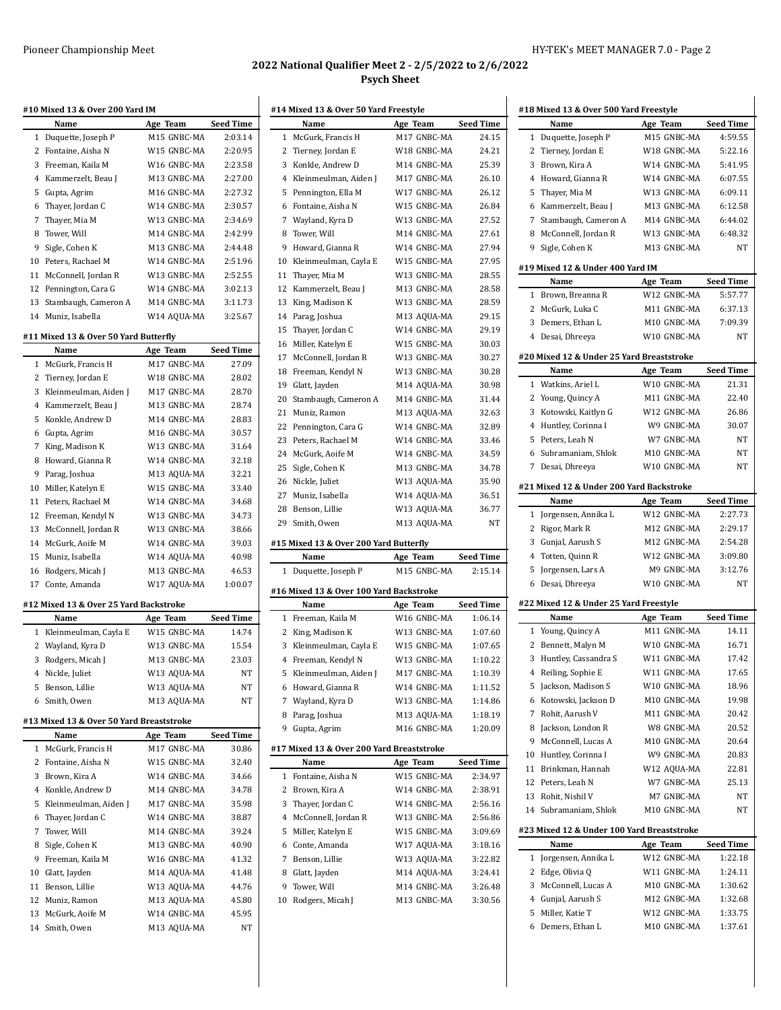### Pioneer Championship Meet National Meet All Allen Managers (2008) HY-TEK's MEET MANAGER 7.0 - Page 2

### **2022 National Qualifier Meet 2 - 2/5/2022 to 2/6/2022 Psych Sheet**

|              | Name                                     | Age Team                   | <b>Seed Time</b>                              |
|--------------|------------------------------------------|----------------------------|-----------------------------------------------|
| 1            | Duquette, Joseph P                       | M15 GNBC-MA                | 2:03.14                                       |
| 2            | Fontaine, Aisha N                        | W15 GNBC-MA                | 2:20.95                                       |
| 3            | Freeman, Kaila M                         | W16 GNBC-MA                | 2:23.58                                       |
| 4            | Kammerzelt, Beau J                       | M13 GNBC-MA                | 2:27.00                                       |
| 5            | Gupta, Agrim                             | M16 GNBC-MA                | 2:27.32                                       |
| 6            | Thayer, Jordan C                         | W14 GNBC-MA                | 2:30.57                                       |
| 7            | Thayer, Mia M                            | W13 GNBC-MA                | 2:34.69                                       |
| 8            | Tower, Will                              | M14 GNBC-MA                | 2:42.99                                       |
| 9            | Sigle, Cohen K                           | M13 GNBC-MA                | 2:44.48                                       |
|              | 10 Peters, Rachael M                     | W14 GNBC-MA                | 2:51.96                                       |
| 11           | McConnell, Jordan R                      | W13 GNBC-MA                | 2:52.55                                       |
| 12           | Pennington, Cara G                       | W14 GNBC-MA                | 3:02.13                                       |
|              | 13 Stambaugh, Cameron A                  | M14 GNBC-MA                | 3:11.73                                       |
|              | 14 Muniz, Isabella                       | W14 AQUA-MA                | 3:25.67                                       |
|              |                                          |                            |                                               |
|              | #11 Mixed 13 & Over 50 Yard Butterfly    |                            |                                               |
|              | Name                                     | Age Team                   | Seed Time                                     |
| $\mathbf{1}$ | McGurk, Francis H                        | M17 GNBC-MA                | 27.09                                         |
| 2            | Tierney, Jordan E                        | W18 GNBC-MA                | 28.02                                         |
| 3            | Kleinmeulman, Aiden J                    | M17 GNBC-MA                | 28.70                                         |
|              | 4 Kammerzelt, Beau J                     | M13 GNBC-MA                | 28.74                                         |
| 5            | Konkle, Andrew D                         | M14 GNBC-MA                | 28.83                                         |
| 6            | Gupta, Agrim                             | M16 GNBC-MA                | 30.57                                         |
| 7            | King, Madison K                          | W13 GNBC-MA                | 31.64                                         |
| 8            | Howard, Gianna R                         | W14 GNBC-MA                | 32.18                                         |
| 9            | Parag, Joshua                            | M13 AQUA-MA                | 32.21                                         |
| 10           | Miller, Katelyn E                        | W15 GNBC-MA                | 33.40                                         |
| 11           | Peters, Rachael M                        | W14 GNBC-MA                | 34.68                                         |
|              | 12 Freeman, Kendyl N                     | W13 GNBC-MA                | 34.73                                         |
| 13           | McConnell, Jordan R                      | W13 GNBC-MA                | 38.66                                         |
|              | 14 McGurk, Aoife M                       | W14 GNBC-MA                | 39.03                                         |
| 15           | Muniz, Isabella                          | W14 AQUA-MA                | 40.98                                         |
| 16           | Rodgers, Micah J                         | M13 GNBC-MA                | 46.53                                         |
| 17           | Conte, Amanda                            | W17 AQUA-MA                | 1:00.07                                       |
|              | #12 Mixed 13 & Over 25 Yard Backstroke   |                            |                                               |
|              | Name                                     | Age Team                   | <b>Seed Time</b>                              |
|              |                                          |                            | 14.74                                         |
| 1            |                                          | W15 GNBC-MA                |                                               |
| 2            | Kleinmeulman, Cayla E<br>Wayland, Kyra D | W13 GNBC-MA                |                                               |
| 3            | Rodgers, Micah J                         | M13 GNBC-MA                |                                               |
|              |                                          |                            |                                               |
| 5            | 4 Nickle, Juliet                         | W13 AQUA-MA<br>W13 AQUA-MA |                                               |
| 6            | Benson, Lillie<br>Smith, Owen            |                            | 15.54<br>23.03<br>NΤ<br>NΤ<br>NΤ              |
|              |                                          | M13 AQUA-MA                |                                               |
|              | #13 Mixed 13 & Over 50 Yard Breaststroke |                            |                                               |
|              | Name                                     | Age Team                   |                                               |
| 1            | McGurk, Francis H                        | M17 GNBC-MA                |                                               |
| 2            | Fontaine, Aisha N                        | W15 GNBC-MA                |                                               |
|              | 3 Brown, Kira A                          | W14 GNBC-MA                |                                               |
|              | 4 Konkle, Andrew D                       | M14 GNBC-MA                | Seed Time<br>30.86<br>32.40<br>34.66<br>34.78 |
| 5            | Kleinmeulman, Aiden J                    | M17 GNBC-MA                | 35.98                                         |
| 6            | Thayer, Jordan C                         | W14 GNBC-MA                |                                               |
| 7            | Tower, Will                              | M14 GNBC-MA                | 38.87<br>39.24                                |
| 8            | Sigle, Cohen K                           | M13 GNBC-MA                | 40.90                                         |
| 9            | Freeman, Kaila M                         | W16 GNBC-MA                |                                               |
|              | 10 Glatt, Jayden                         | M14 AQUA-MA                |                                               |
|              | 11 Benson, Lillie                        | W13 AQUA-MA                |                                               |
|              | 12 Muniz, Ramon                          | M13 AQUA-MA                |                                               |
|              | 13 McGurk, Aoife M                       | W14 GNBC-MA                | 41.32<br>41.48<br>44.76<br>45.80<br>45.95     |

|    | #14 Mixed 13 & Over 50 Yard Freestyle     |             |                  |
|----|-------------------------------------------|-------------|------------------|
|    | Name                                      | Age Team    | <b>Seed Time</b> |
| 1  | McGurk, Francis H                         | M17 GNBC-MA | 24.15            |
| 2  | Tierney, Jordan E                         | W18 GNBC-MA | 24.21            |
| 3  | Konkle, Andrew D                          | M14 GNBC-MA | 25.39            |
| 4  | Kleinmeulman, Aiden J                     | M17 GNBC-MA | 26.10            |
| 5  | Pennington, Ella M                        | W17 GNBC-MA | 26.12            |
| 6  | Fontaine, Aisha N                         | W15 GNBC-MA | 26.84            |
| 7  | Wayland, Kyra D                           | W13 GNBC-MA | 27.52            |
| 8  | Tower, Will                               | M14 GNBC-MA | 27.61            |
| 9  | Howard, Gianna R                          | W14 GNBC-MA | 27.94            |
| 10 | Kleinmeulman, Cayla E                     | W15 GNBC-MA | 27.95            |
| 11 | Thayer, Mia M                             | W13 GNBC-MA | 28.55            |
| 12 | Kammerzelt, Beau J                        | M13 GNBC-MA | 28.58            |
| 13 | King, Madison K                           | W13 GNBC-MA | 28.59            |
|    | 14 Parag, Joshua                          | M13 AQUA-MA | 29.15            |
|    | 15 Thayer, Jordan C                       | W14 GNBC-MA | 29.19            |
| 16 | Miller, Katelyn E                         | W15 GNBC-MA | 30.03            |
| 17 | McConnell, Jordan R                       | W13 GNBC-MA | 30.27            |
| 18 |                                           | W13 GNBC-MA | 30.28            |
|    | Freeman, Kendyl N                         |             |                  |
| 19 | Glatt, Jayden                             | M14 AQUA-MA | 30.98            |
| 20 | Stambaugh, Cameron A                      | M14 GNBC-MA | 31.44            |
| 21 | Muniz, Ramon                              | M13 AQUA-MA | 32.63            |
| 22 | Pennington, Cara G                        | W14 GNBC-MA | 32.89            |
| 23 | Peters, Rachael M                         | W14 GNBC-MA | 33.46            |
| 24 | McGurk, Aoife M                           | W14 GNBC-MA | 34.59            |
| 25 | Sigle, Cohen K                            | M13 GNBC-MA | 34.78            |
|    | 26 Nickle, Juliet                         | W13 AQUA-MA | 35.90            |
| 27 | Muniz, Isabella                           | W14 AQUA-MA | 36.51            |
| 28 | Benson, Lillie                            | W13 AQUA-MA | 36.77            |
| 29 | Smith, Owen                               | M13 AQUA-MA | NT               |
|    | #15 Mixed 13 & Over 200 Yard Butterfly    |             |                  |
|    | Name                                      | Age Team    | <b>Seed Time</b> |
|    |                                           |             |                  |
| 1  | Duquette, Joseph P                        | M15 GNBC-MA | 2:15.14          |
|    |                                           |             |                  |
|    | #16 Mixed 13 & Over 100 Yard Backstroke   |             |                  |
|    | Name                                      | Age Team    | <b>Seed Time</b> |
| 1  | Freeman, Kaila M                          | W16 GNBC-MA | 1:06.14          |
| 2  | King, Madison K                           | W13 GNBC-MA | 1:07.60          |
| 3  | Kleinmeulman, Cayla E                     | W15 GNBC-MA | 1:07.65          |
| 4  | Freeman, Kendyl N                         | W13 GNBC-MA | 1:10.22          |
| 5  | Kleinmeulman, Aiden J                     | M17 GNBC-MA | 1:10.39          |
| 6  | Howard, Gianna R                          | W14 GNBC-MA | 1:11.52          |
|    | 7 Wayland, Kyra D                         | W13 GNBC-MA | 1:14.86          |
| 8  | Parag, Joshua                             | M13 AQUA-MA | 1:18.19          |
| 9  | Gupta, Agrim                              | M16 GNBC-MA | 1:20.09          |
|    | #17 Mixed 13 & Over 200 Yard Breaststroke |             |                  |
|    | Name                                      | Age Team    | Seed Time        |
| 1  | Fontaine, Aisha N                         | W15 GNBC-MA | 2:34.97          |
| 2  | Brown, Kira A                             | W14 GNBC-MA | 2:38.91          |
|    | 3 Thayer, Jordan C                        | W14 GNBC-MA | 2:56.16          |
|    | 4 McConnell, Jordan R                     | W13 GNBC-MA | 2:56.86          |
|    |                                           |             |                  |
| 5  | Miller, Katelyn E                         | W15 GNBC-MA | 3:09.69          |
| 6  | Conte, Amanda                             | W17 AQUA-MA | 3:18.16          |
| 7  | Benson, Lillie                            | W13 AQUA-MA | 3:22.82          |
|    | 8 Glatt, Jayden                           | M14 AQUA-MA | 3:24.41          |
| 9  | Tower, Will                               | M14 GNBC-MA | 3:26.48          |
| 10 | Rodgers, Micah J                          | M13 GNBC-MA | 3:30.56          |
|    |                                           |             |                  |
|    |                                           |             |                  |
|    |                                           |             |                  |
|    |                                           |             |                  |
|    |                                           |             |                  |

|              | #18 Mixed 13 & Over 500 Yard Freestyle     |                         |                  |
|--------------|--------------------------------------------|-------------------------|------------------|
|              | Name                                       | Age Team                | <b>Seed Time</b> |
| 1            | Duquette, Joseph P                         | M15 GNBC-MA             | 4:59.55          |
| 2            | Tierney, Jordan E                          | W18 GNBC-MA             | 5:22.16          |
|              | 3 Brown, Kira A                            | W14 GNBC-MA             | 5:41.95          |
|              | 4 Howard, Gianna R                         | W14 GNBC-MA             | 6:07.55          |
|              | 5 Thayer, Mia M                            | W13 GNBC-MA             | 6:09.11          |
|              |                                            | M13 GNBC-MA             | 6:12.58          |
|              | 6 Kammerzelt, Beau J                       |                         |                  |
| 7            | Stambaugh, Cameron A                       | M14 GNBC-MA             | 6:44.02          |
|              | 8 McConnell, Jordan R                      | W13 GNBC-MA             | 6:48.32          |
|              | 9 Sigle, Cohen K                           | M13 GNBC-MA             | <b>NT</b>        |
|              | #19 Mixed 12 & Under 400 Yard IM           |                         |                  |
|              | Name                                       | Age Team                | <b>Seed Time</b> |
|              | 1 Brown, Breanna R                         | W12 GNBC-MA             | 5:57.77          |
|              | 2 McGurk, Luka C                           | M11 GNBC-MA             | 6:37.13          |
|              | 3 Demers, Ethan L                          | M10 GNBC-MA             | 7:09.39          |
|              | 4 Desai, Dhreeya                           | W10 GNBC-MA             | NT               |
|              | #20 Mixed 12 & Under 25 Yard Breaststroke  |                         |                  |
|              | Name                                       | Age Team                | <b>Seed Time</b> |
|              | 1 Watkins, Ariel L                         | W10 GNBC-MA             | 21.31            |
|              | 2 Young, Quincy A                          | M11 GNBC-MA             | 22.40            |
|              | 3 Kotowski, Kaitlyn G                      | W12 GNBC-MA             | 26.86            |
|              | 4 Huntley, Corinna I                       | W9 GNBC-MA              | 30.07            |
|              | 5 Peters, Leah N                           | W7 GNBC-MA              | NT               |
|              | 6 Subramaniam, Shlok                       | M10 GNBC-MA             | NT               |
|              | 7 Desai, Dhreeya                           | W10 GNBC-MA             | NΤ               |
|              | #21 Mixed 12 & Under 200 Yard Backstroke   |                         |                  |
|              | Name                                       | Age Team                | <b>Seed Time</b> |
|              | 1 Jorgensen, Annika L                      | W12 GNBC-MA             | 2:27.73          |
|              | 2 Rigor, Mark R                            | M12 GNBC-MA             | 2:29.17          |
|              | 3 Gunjal, Aarush S                         | M12 GNBC-MA             | 2:54.28          |
|              | 4 Totten, Quinn R                          | W12 GNBC-MA             | 3:09.80          |
|              | 5 Jorgensen, Lars A                        | M9 GNBC-MA              | 3:12.76          |
|              | 6 Desai, Dhreeya                           | W10 GNBC-MA             | <b>NT</b>        |
|              |                                            |                         |                  |
|              | #22 Mixed 12 & Under 25 Yard Freestyle     |                         |                  |
|              | Name                                       | Age Team<br>M11 GNBC-MA | <b>Seed Time</b> |
|              | 1 Young, Quincy A                          |                         | 14.11            |
| $\mathbf{2}$ | Bennett, Malyn M                           | W10 GNBC-MA             | 16.71            |
| 3            | Huntley, Cassandra S                       | W11 GNBC-MA             | 17.42            |
|              | 4 Reiling, Sophie E                        | W11 GNBC-MA             | 17.65            |
| 5.           | Jackson, Madison S                         | W10 GNBC-MA             | 18.96            |
|              | 6 Kotowski, Jackson D                      |                         |                  |
|              |                                            | M10 GNBC-MA             | 19.98            |
| 7            | Rohit, Aarush V                            | M11 GNBC-MA             | 20.42            |
|              | 8 Jackson, London R                        | W8 GNBC-MA              | 20.52            |
|              | 9 McConnell, Lucas A                       | M10 GNBC-MA             | 20.64            |
|              | 10 Huntley, Corinna I                      | W9 GNBC-MA              | 20.83            |
|              | 11 Brinkman, Hannah                        | W12 AQUA-MA             | 22.81            |
|              | 12 Peters, Leah N                          | W7 GNBC-MA              | 25.13            |
|              | 13 Rohit, Nishil V                         | M7 GNBC-MA              | NΤ               |
|              | 14 Subramaniam, Shlok                      | M10 GNBC-MA             | NΤ               |
|              | #23 Mixed 12 & Under 100 Yard Breaststroke |                         |                  |
|              | Name                                       | Age Team                | Seed Time        |
|              | 1 Jorgensen, Annika L                      | W12 GNBC-MA             | 1:22.18          |
|              | 2 Edge, Olivia Q                           | W11 GNBC-MA             | 1:24.11          |
|              | 3 McConnell, Lucas A                       | M10 GNBC-MA             | 1:30.62          |
|              | 4 Gunjal, Aarush S                         | M12 GNBC-MA             | 1:32.68          |
|              | 5 Miller, Katie T                          | W12 GNBC-MA             | 1:33.75          |
|              | 6 Demers, Ethan L                          | M10 GNBC-MA             | 1:37.61          |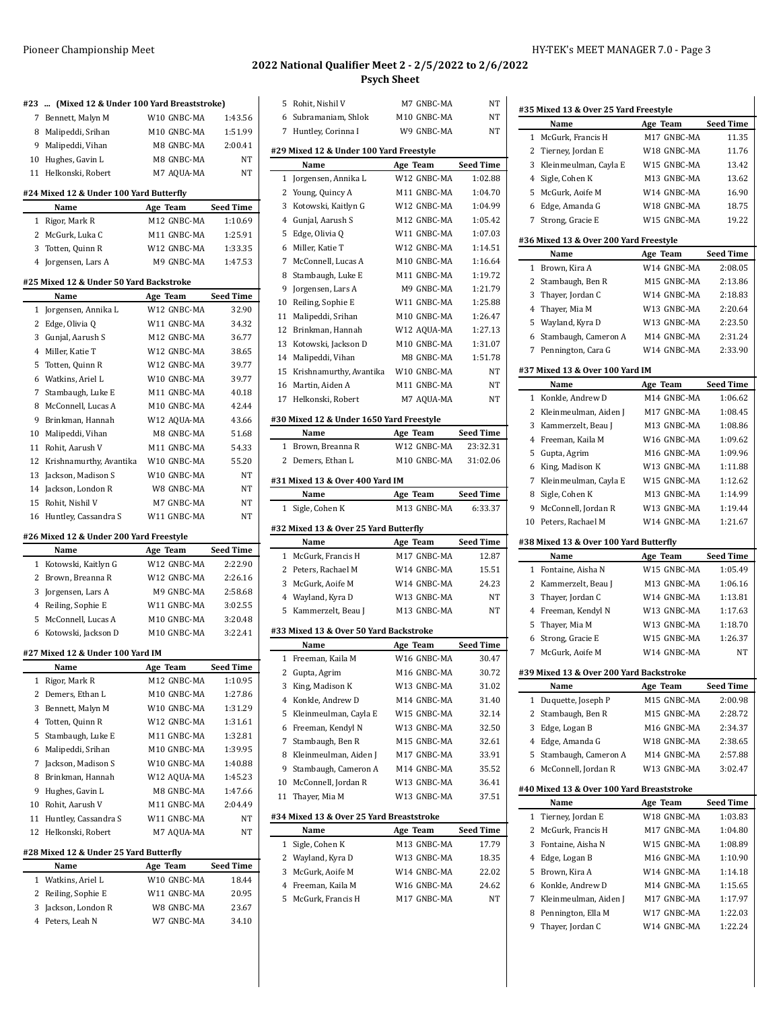**#27 Mixed 12 & Under 100 Yard IM**

**Name Age Team** 1 Rigor, Mark R M12 GNBC-MA 2 Demers, Ethan L M10 GNBC-MA 3 Bennett, Malyn M W10 GNBC-MA 4 Totten, Quinn R W12 GNBC-MA 5 Stambaugh, Luke E M11 GNBC-MA 6 Malipeddi, Srihan M10 GNBC-MA 7 Jackson, Madison S W10 GNBC-MA 8 Brinkman, Hannah W12 AQUA-MA 9 Hughes, Gavin L M8 GNBC-MA 10 Rohit, Aarush V M11 GNBC-MA 11 Huntley, Cassandra S W11 GNBC-MA 12 Helkonski, Robert M7 AQUA-MA **#28 Mixed 12 & Under 25 Yard Butterfly Name Age Team** 1 Watkins, Ariel L W10 GNBC-MA 2 Reiling, Sophie E W11 GNBC-MA 3 Jackson, London R W8 GNBC-MA 4 Peters, Leah N W7 GNBC-MA

**#23 ... (Mixed 12 & Under 100 Yard Breaststroke)**

8 Malipeddi, Srihan M10 GNBC-MA 9 Malipeddi, Vihan M8 GNBC-MA 10 Hughes, Gavin L M8 GNBC-MA 11 Helkonski, Robert M7 AQUA-MA **#24 Mixed 12 & Under 100 Yard Butterfly Name Age Team** 1 Rigor, Mark R M12 GNBC-MA 2 McGurk, Luka C M11 GNBC-MA 3 Totten, Quinn R W12 GNBC-MA 4 Jorgensen, Lars A M9 GNBC-MA **#25 Mixed 12 & Under 50 Yard Backstroke Name Age Team** 1 Jorgensen, Annika L W12 GNBC-MA 2 Edge, Olivia Q W11 GNBC-MA 3 Gunjal, Aarush S M12 GNBC-MA 4 Miller, Katie T W12 GNBC-MA 5 Totten, Quinn R W12 GNBC-MA 6 Watkins, Ariel L W10 GNBC-MA 7 Stambaugh, Luke E M11 GNBC-MA 8 McConnell, Lucas A M10 GNBC-MA 9 Brinkman, Hannah W12 AQUA-MA 10 Malipeddi, Vihan M8 GNBC-MA 11 Rohit, Aarush V M11 GNBC-MA 12 Krishnamurthy, Avantika W10 GNBC-MA 13 Jackson, Madison S W10 GNBC-MA 14 Jackson, London R W8 GNBC-MA 15 Rohit, Nishil V M7 GNBC-MA 16 Huntley, Cassandra S W11 GNBC-MA **#26 Mixed 12 & Under 200 Yard Freestyle Name Age Team** 1 Kotowski, Kaitlyn G W12 GNBC-MA 2 Brown, Breanna R W12 GNBC-MA 3 Jorgensen, Lars A M9 GNBC-MA 4 Reiling, Sophie E W11 GNBC-MA 5 McConnell, Lucas A M10 GNBC-MA 6 Kotowski, Jackson D M10 GNBC-MA

# **2022 National Qualifier Meet 2 - 2/5/2022 to 2/6/2022**

**Psych Sheet** 5 Rohit, Nishil V M7 GNBC-MA NT

| 7 Bennett, Malyn M                    | W10 GNBC-MA | 1:43.56   |    | 6 Subramaniam, Shlok                     | M10 GNBC-MA | NΤ               |
|---------------------------------------|-------------|-----------|----|------------------------------------------|-------------|------------------|
| 8 Malipeddi, Srihan                   | M10 GNBC-MA | 1:51.99   |    | 7 Huntley, Corinna I                     | W9 GNBC-MA  | NT               |
| 9 Malipeddi, Vihan                    | M8 GNBC-MA  | 2:00.41   |    |                                          |             |                  |
|                                       |             |           |    | #29 Mixed 12 & Under 100 Yard Freestyle  |             |                  |
| 10 Hughes, Gavin L                    | M8 GNBC-MA  | NT        |    | Name                                     | Age Team    | <b>Seed Time</b> |
| 1 Helkonski, Robert                   | M7 AQUA-MA  | NT        |    | 1 Jorgensen, Annika L                    | W12 GNBC-MA | 1:02.88          |
| 4 Mixed 12 & Under 100 Yard Butterfly |             |           |    | 2 Young, Quincy A                        | M11 GNBC-MA | 1:04.70          |
| Name                                  | Age Team    | Seed Time | 3  | Kotowski, Kaitlyn G                      | W12 GNBC-MA | 1:04.99          |
|                                       | M12 GNBC-MA | 1:10.69   | 4  | Gunjal, Aarush S                         | M12 GNBC-MA | 1:05.42          |
| 1 Rigor, Mark R                       |             |           |    |                                          |             |                  |
| 2 McGurk, Luka C                      | M11 GNBC-MA | 1:25.91   |    | 5 Edge, Olivia Q                         | W11 GNBC-MA | 1:07.03          |
| 3 Totten, Quinn R                     | W12 GNBC-MA | 1:33.35   |    | 6 Miller, Katie T                        | W12 GNBC-MA | 1:14.51          |
| 4 Jorgensen, Lars A                   | M9 GNBC-MA  | 1:47.53   | 7  | McConnell, Lucas A                       | M10 GNBC-MA | 1:16.64          |
| 5 Mixed 12 & Under 50 Yard Backstroke |             |           | 8  | Stambaugh, Luke E                        | M11 GNBC-MA | 1:19.72          |
| Name                                  |             |           | 9  | Jorgensen, Lars A                        | M9 GNBC-MA  | 1:21.79          |
|                                       | Age Team    | Seed Time | 10 | Reiling, Sophie E                        | W11 GNBC-MA | 1:25.88          |
| 1 Jorgensen, Annika L                 | W12 GNBC-MA | 32.90     | 11 | Malipeddi, Srihan                        | M10 GNBC-MA | 1:26.47          |
| 2 Edge, Olivia Q                      | W11 GNBC-MA | 34.32     |    | 12 Brinkman, Hannah                      | W12 AQUA-MA | 1:27.13          |
| 3 Gunjal, Aarush S                    | M12 GNBC-MA | 36.77     |    | 13 Kotowski, Jackson D                   | M10 GNBC-MA | 1:31.07          |
| 4 Miller, Katie T                     | W12 GNBC-MA | 38.65     |    | 14 Malipeddi, Vihan                      | M8 GNBC-MA  | 1:51.78          |
| 5 Totten, Quinn R                     | W12 GNBC-MA | 39.77     |    |                                          | W10 GNBC-MA |                  |
| 6 Watkins, Ariel L                    | W10 GNBC-MA | 39.77     |    | 15 Krishnamurthy, Avantika               |             | NT               |
| 7 Stambaugh, Luke E                   | M11 GNBC-MA | 40.18     |    | 16 Martin, Aiden A                       | M11 GNBC-MA | NT               |
| 8 McConnell, Lucas A                  | M10 GNBC-MA | 42.44     |    | 17 Helkonski, Robert                     | M7 AQUA-MA  | NT               |
| 9 Brinkman, Hannah                    | W12 AQUA-MA | 43.66     |    | #30 Mixed 12 & Under 1650 Yard Freestyle |             |                  |
| 0 Malipeddi, Vihan                    |             |           |    | Name                                     | Age Team    | <b>Seed Time</b> |
|                                       | M8 GNBC-MA  | 51.68     |    |                                          |             |                  |
| 1 Rohit, Aarush V                     | M11 GNBC-MA | 54.33     |    | 1 Brown, Breanna R                       | W12 GNBC-MA | 23:32.31         |
| 2 Krishnamurthy, Avantika             | W10 GNBC-MA | 55.20     |    | 2 Demers, Ethan L                        | M10 GNBC-MA | 31:02.06         |
| 3 Jackson, Madison S                  | W10 GNBC-MA | NT        |    | #31 Mixed 13 & Over 400 Yard IM          |             |                  |
| 4 Jackson, London R                   | W8 GNBC-MA  | NT        |    | Name                                     | Age Team    | <b>Seed Time</b> |
| 15 Rohit, Nishil V                    | M7 GNBC-MA  | NT        |    | 1 Sigle, Cohen K                         | M13 GNBC-MA | 6:33.37          |
| 16 Huntley, Cassandra S               | W11 GNBC-MA | NT        |    |                                          |             |                  |
|                                       |             |           |    | #32 Mixed 13 & Over 25 Yard Butterfly    |             |                  |
| 6 Mixed 12 & Under 200 Yard Freestyle |             |           |    | Name                                     | Age Team    | <b>Seed Time</b> |
| Name                                  | Age Team    | Seed Time |    | 1 McGurk, Francis H                      | M17 GNBC-MA | 12.87            |
| 1 Kotowski, Kaitlyn G                 | W12 GNBC-MA | 2:22.90   |    | 2 Peters, Rachael M                      | W14 GNBC-MA | 15.51            |
| 2 Brown, Breanna R                    | W12 GNBC-MA | 2:26.16   |    | 3 McGurk, Aoife M                        | W14 GNBC-MA | 24.23            |
| 3 Jorgensen, Lars A                   | M9 GNBC-MA  | 2:58.68   |    | 4 Wayland, Kyra D                        | W13 GNBC-MA | NT               |
| 4 Reiling, Sophie E                   | W11 GNBC-MA | 3:02.55   |    |                                          |             |                  |
| 5 McConnell, Lucas A                  | M10 GNBC-MA | 3:20.48   |    | 5 Kammerzelt, Beau J                     | M13 GNBC-MA | NT               |
| 6 Kotowski, Jackson D                 | M10 GNBC-MA | 3:22.41   |    | #33 Mixed 13 & Over 50 Yard Backstroke   |             |                  |
|                                       |             |           |    | Name                                     | Age Team    | <b>Seed Time</b> |
| 7 Mixed 12 & Under 100 Yard IM        |             |           |    | 1 Freeman, Kaila M                       | W16 GNBC-MA |                  |
|                                       |             |           |    |                                          |             |                  |
| Name                                  | Age Team    | Seed Time |    |                                          |             | 30.47            |
| 1 Rigor, Mark R                       | M12 GNBC-MA | 1:10.95   |    | 2 Gupta, Agrim                           | M16 GNBC-MA | 30.72            |
| 2 Demers, Ethan L                     | M10 GNBC-MA | 1:27.86   |    | 3 King, Madison K                        | W13 GNBC-MA | 31.02            |
|                                       | W10 GNBC-MA |           |    | 4 Konkle, Andrew D                       | M14 GNBC-MA | 31.40            |
| 3 Bennett, Malyn M                    |             | 1:31.29   | 5  | Kleinmeulman, Cayla E                    | W15 GNBC-MA | 32.14            |
| 4 Totten, Quinn R                     | W12 GNBC-MA | 1:31.61   | 6  | Freeman, Kendyl N                        | W13 GNBC-MA | 32.50            |
| 5 Stambaugh, Luke E                   | M11 GNBC-MA | 1:32.81   | 7  | Stambaugh, Ben R                         | M15 GNBC-MA | 32.61            |
| 6 Malipeddi, Srihan                   | M10 GNBC-MA | 1:39.95   |    | 8 Kleinmeulman, Aiden J                  | M17 GNBC-MA | 33.91            |
| 7 Jackson, Madison S                  | W10 GNBC-MA | 1:40.88   |    | 9 Stambaugh, Cameron A                   | M14 GNBC-MA | 35.52            |
| 8 Brinkman, Hannah                    | W12 AQUA-MA | 1:45.23   | 10 | McConnell, Jordan R                      | W13 GNBC-MA |                  |
| 9 Hughes, Gavin L                     | M8 GNBC-MA  | 1:47.66   |    |                                          |             | 36.41            |
| 10 Rohit, Aarush V                    | M11 GNBC-MA | 2:04.49   |    | 11 Thayer, Mia M                         | W13 GNBC-MA | 37.51            |
| 1 Huntley, Cassandra S                | W11 GNBC-MA | ΝT        |    | #34 Mixed 13 & Over 25 Yard Breaststroke |             |                  |
|                                       |             | ΝT        |    | Name                                     | Age Team    | <b>Seed Time</b> |
| 12 Helkonski, Robert                  | M7 AQUA-MA  |           |    | 1 Sigle, Cohen K                         | M13 GNBC-MA | 17.79            |
| 8 Mixed 12 & Under 25 Yard Butterfly  |             |           | 2  | Wayland, Kyra D                          | W13 GNBC-MA | 18.35            |
| Name                                  | Age Team    | Seed Time |    |                                          |             |                  |
| 1 Watkins, Ariel L                    | W10 GNBC-MA | 18.44     | 3  | McGurk, Aoife M                          | W14 GNBC-MA | 22.02            |
| 2 Reiling, Sophie E                   | W11 GNBC-MA | 20.95     | 4  | Freeman, Kaila M                         | W16 GNBC-MA | 24.62            |
| 3 Jackson, London R                   | W8 GNBC-MA  | 23.67     |    | 5 McGurk, Francis H                      | M17 GNBC-MA | NΤ               |
|                                       |             |           |    |                                          |             |                  |
| 4 Peters, Leah N                      | W7 GNBC-MA  | 34.10     |    |                                          |             |                  |
|                                       |             |           |    |                                          |             |                  |
|                                       |             |           |    |                                          |             |                  |
|                                       |             |           |    |                                          |             |                  |
|                                       |             |           |    |                                          |             |                  |
|                                       |             |           |    |                                          |             |                  |
|                                       |             |           |    |                                          |             |                  |

|              | Name                                       | Age Team                   | <b>Seed Time</b>                                                                                                                                                                                                                      |
|--------------|--------------------------------------------|----------------------------|---------------------------------------------------------------------------------------------------------------------------------------------------------------------------------------------------------------------------------------|
|              | 1 McGurk, Francis H                        | M17 GNBC-MA                | 11.35                                                                                                                                                                                                                                 |
|              | 2 Tierney, Jordan E                        | W18 GNBC-MA                | 11.76                                                                                                                                                                                                                                 |
|              | 3 Kleinmeulman, Cayla E                    | W15 GNBC-MA                | 13.42                                                                                                                                                                                                                                 |
|              | 4 Sigle, Cohen K                           | M13 GNBC-MA                | 13.62                                                                                                                                                                                                                                 |
|              | 5 McGurk, Aoife M                          | W14 GNBC-MA                | 16.90                                                                                                                                                                                                                                 |
|              |                                            | W18 GNBC-MA                |                                                                                                                                                                                                                                       |
| 7            | 6 Edge, Amanda G                           | W15 GNBC-MA                | 18.75<br>19.22                                                                                                                                                                                                                        |
|              | Strong, Gracie E                           |                            |                                                                                                                                                                                                                                       |
|              | #36 Mixed 13 & Over 200 Yard Freestyle     |                            |                                                                                                                                                                                                                                       |
|              | Name                                       | Age Team                   | <b>Seed Time</b>                                                                                                                                                                                                                      |
|              | 1 Brown, Kira A                            | W14 GNBC-MA                | 2:08.05                                                                                                                                                                                                                               |
|              | 2 Stambaugh, Ben R                         | M15 GNBC-MA                | 2:13.86                                                                                                                                                                                                                               |
|              | 3 Thayer, Jordan C                         | W14 GNBC-MA                | 2:18.83                                                                                                                                                                                                                               |
|              | 4 Thayer, Mia M                            | W13 GNBC-MA                | 2:20.64                                                                                                                                                                                                                               |
|              | 5 Wayland, Kyra D                          | W13 GNBC-MA                | 2:23.50                                                                                                                                                                                                                               |
|              | 6 Stambaugh, Cameron A                     | M14 GNBC-MA                | 2:31.24                                                                                                                                                                                                                               |
|              | 7 Pennington, Cara G                       | W14 GNBC-MA                | 2:33.90                                                                                                                                                                                                                               |
|              | #37 Mixed 13 & Over 100 Yard IM            |                            |                                                                                                                                                                                                                                       |
|              | Name                                       | Age Team                   | <b>Seed Time</b>                                                                                                                                                                                                                      |
|              | 1 Konkle, Andrew D                         | M14 GNBC-MA                | 1:06.62                                                                                                                                                                                                                               |
|              | 2 Kleinmeulman, Aiden J                    | M17 GNBC-MA                | 1:08.45                                                                                                                                                                                                                               |
|              | 3 Kammerzelt, Beau J                       | M13 GNBC-MA                | 1:08.86                                                                                                                                                                                                                               |
|              | 4 Freeman. Kaila M                         | W16 GNBC-MA                | 1:09.62                                                                                                                                                                                                                               |
|              | 5 Gupta, Agrim                             | M16 GNBC-MA                | 1:09.96                                                                                                                                                                                                                               |
|              | 6 King, Madison K                          | W13 GNBC-MA                | 1:11.88                                                                                                                                                                                                                               |
|              | 7 Kleinmeulman, Cayla E                    | W15 GNBC-MA                | 1:12.62                                                                                                                                                                                                                               |
|              | 8 Sigle, Cohen K                           | M13 GNBC-MA                | 1:14.99                                                                                                                                                                                                                               |
| 9.           | McConnell, Jordan R                        | W13 GNBC-MA                | 1:19.44                                                                                                                                                                                                                               |
|              |                                            |                            |                                                                                                                                                                                                                                       |
|              | 10 Peters, Rachael M                       | W14 GNBC-MA                |                                                                                                                                                                                                                                       |
|              | #38 Mixed 13 & Over 100 Yard Butterfly     |                            | 1:21.67                                                                                                                                                                                                                               |
|              | Name                                       | Age Team                   |                                                                                                                                                                                                                                       |
|              | 1 Fontaine, Aisha N                        | W15 GNBC-MA                |                                                                                                                                                                                                                                       |
|              | 2 Kammerzelt, Beau J                       | M13 GNBC-MA                |                                                                                                                                                                                                                                       |
|              | 3 Thayer, Jordan C                         | W14 GNBC-MA                |                                                                                                                                                                                                                                       |
|              | 4 Freeman, Kendyl N                        | W13 GNBC-MA                | <b>Seed Time</b><br>1:05.49<br>1:06.16<br>1:13.81<br>1:17.63                                                                                                                                                                          |
|              | 5 Thayer, Mia M                            | W13 GNBC-MA                |                                                                                                                                                                                                                                       |
|              | 6 Strong, Gracie E                         | W15 GNBC-MA                |                                                                                                                                                                                                                                       |
|              | 7 McGurk, Aoife M                          | W14 GNBC-MA                |                                                                                                                                                                                                                                       |
|              | #39 Mixed 13 & Over 200 Yard Backstroke    |                            |                                                                                                                                                                                                                                       |
|              | Name                                       | Age Team                   |                                                                                                                                                                                                                                       |
| $\mathbf{1}$ | Duquette, Joseph P                         | M15 GNBC-MA                |                                                                                                                                                                                                                                       |
|              | 2 Stambaugh, Ben R                         | M15 GNBC-MA                |                                                                                                                                                                                                                                       |
|              | 3 Edge, Logan B                            | M16 GNBC-MA                |                                                                                                                                                                                                                                       |
|              | 4 Edge, Amanda G                           | W18 GNBC-MA                |                                                                                                                                                                                                                                       |
|              | 5 Stambaugh, Cameron A                     | M14 GNBC-MA                |                                                                                                                                                                                                                                       |
|              | 6 McConnell, Jordan R                      | W13 GNBC-MA                |                                                                                                                                                                                                                                       |
|              |                                            |                            |                                                                                                                                                                                                                                       |
|              | #40 Mixed 13 & Over 100 Yard Breaststroke  |                            |                                                                                                                                                                                                                                       |
|              | Name                                       | Age Team<br>W18 GNBC-MA    |                                                                                                                                                                                                                                       |
|              | 1 Tierney, Jordan E                        |                            |                                                                                                                                                                                                                                       |
|              | 2 McGurk, Francis H                        | M17 GNBC-MA                |                                                                                                                                                                                                                                       |
|              | 3 Fontaine, Aisha N                        | W15 GNBC-MA                |                                                                                                                                                                                                                                       |
|              | 4 Edge, Logan B                            | M16 GNBC-MA                |                                                                                                                                                                                                                                       |
|              | 5 Brown, Kira A                            | W14 GNBC-MA                |                                                                                                                                                                                                                                       |
|              | 6 Konkle, Andrew D                         | M14 GNBC-MA                |                                                                                                                                                                                                                                       |
|              | 7 Kleinmeulman, Aiden J                    | M17 GNBC-MA                |                                                                                                                                                                                                                                       |
|              | 8 Pennington, Ella M<br>9 Thayer, Jordan C | W17 GNBC-MA<br>W14 GNBC-MA | 1:18.70<br>1:26.37<br>NΤ<br><b>Seed Time</b><br>2:00.98<br>2:28.72<br>2:34.37<br>2:38.65<br>2:57.88<br>3:02.47<br><b>Seed Time</b><br>1:03.83<br>1:04.80<br>1:08.89<br>1:10.90<br>1:14.18<br>1:15.65<br>1:17.97<br>1:22.03<br>1:22.24 |

 $\overline{1}$